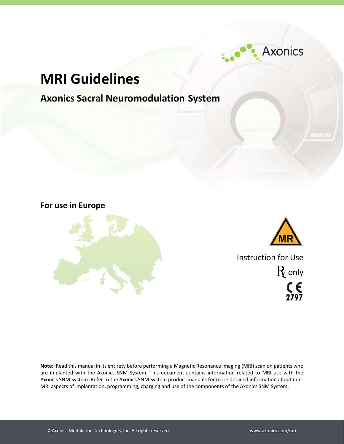

# **MRI Guidelines**

## **Axonics Sacral Neuromodulation System**

### **For use in Europe**





**Note:** Read this manual in its entirety before performing a Magnetic Resonance Imaging (MRI) scan on patients who are implanted with the Axonics SNM System. This document contains information related to MRI use with the Axonics SNM System. Refer to the Axonics SNM System product manuals for more detailed information about non-MRI aspects of implantation, programming, charging and use of the components of the Axonics SNM System.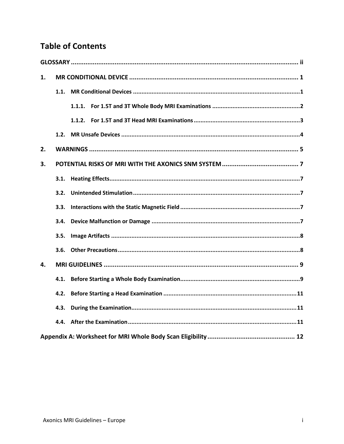## **Table of Contents**

| 1. |      |        |  |  |  |
|----|------|--------|--|--|--|
|    | 1.1. |        |  |  |  |
|    |      | 1.1.1. |  |  |  |
|    |      | 1.1.2. |  |  |  |
|    | 1.2. |        |  |  |  |
| 2. |      |        |  |  |  |
| 3. |      |        |  |  |  |
|    | 3.1. |        |  |  |  |
|    | 3.2. |        |  |  |  |
|    | 3.3. |        |  |  |  |
|    | 3.4. |        |  |  |  |
|    | 3.5. |        |  |  |  |
|    | 3.6. |        |  |  |  |
| 4. |      |        |  |  |  |
|    | 4.1. |        |  |  |  |
|    | 4.2. |        |  |  |  |
|    | 4.3. |        |  |  |  |
|    | 4.4. |        |  |  |  |
|    |      |        |  |  |  |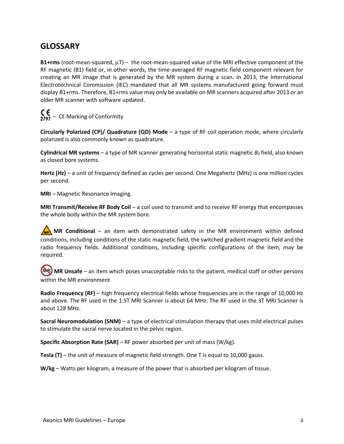### <span id="page-2-0"></span>**GLOSSARY**

**B1+rms** (root-mean-squared,  $\mu$ T) – the root-mean-squared value of the MRI effective component of the RF magnetic (B1) field or, in other words, the time-averaged RF magnetic field component relevant for creating an MR image that is generated by the MR system during a scan. In 2013, the International Electrotechnical Commission (IEC) mandated that all MR systems manufactured going forward must display B1+rms. Therefore, B1+rms value may only be available on MR scanners acquired after 2013 or an older MR scanner with software updated.

# $\zeta$   $\zeta$  – CE Marking of Conformity

**Circularly Polarized (CP)/ Quadrature (QD) Mode** – a type of RF coil operation mode, where circularly polarized is also commonly known as quadrature.

**Cylindrical MR systems** – a type of MR scanner generating horizontal static magnetic *B<sup>0</sup>* field, also known as closed bore systems.

**Hertz (Hz)** – a unit of frequency defined as cycles per second. One Megahertz (MHz) is one million cycles per second.

**MRI** – Magnetic Resonance Imaging.

**MRI Transmit/Receive RF Body Coil** – a coil used to transmit and to receive RF energy that encompasses the whole body within the MR system bore.

**MR** MR Conditional – an item with demonstrated safety in the MR environment within defined conditions, including conditions of the static magnetic field, the switched gradient magnetic field and the radio frequency fields. Additional conditions, including specific configurations of the item, may be required.

**MR** MR Unsafe – an item which poses unacceptable risks to the patient, medical staff or other persons within the MR environment

**Radio Frequency (RF)** – high frequency electrical fields whose frequencies are in the range of 10,000 Hz and above. The RF used in the 1.5T MRI Scanner is about 64 MHz. The RF used in the 3T MRI Scanner is about 128 MHz.

**Sacral Neuromodulation (SNM)** – a type of electrical stimulation therapy that uses mild electrical pulses to stimulate the sacral nerve located in the pelvic region.

**Specific Absorption Rate (SAR)** – RF power absorbed per unit of mass (W/kg).

**Tesla (T)** – the unit of measure of magnetic field strength. One T is equal to 10,000 gauss.

**W/kg** – Watts per kilogram, a measure of the power that is absorbed per kilogram of tissue.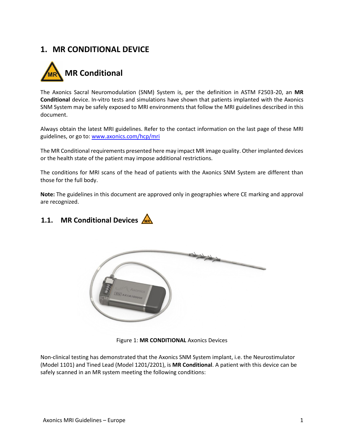### <span id="page-3-0"></span>**1. MR CONDITIONAL DEVICE**



The Axonics Sacral Neuromodulation (SNM) System is, per the definition in ASTM F2503-20, an **MR Conditional** device. In-vitro tests and simulations have shown that patients implanted with the Axonics SNM System may be safely exposed to MRI environments that follow the MRI guidelines described in this document.

Always obtain the latest MRI guidelines. Refer to the contact information on the last page of these MRI guidelines, or go to: [www.axonics.com/hcp/mri](http://www.axonics.com/hcp/mri)

The MR Conditional requirements presented here may impact MR image quality. Other implanted devices or the health state of the patient may impose additional restrictions.

The conditions for MRI scans of the head of patients with the Axonics SNM System are different than those for the full body.

**Note:** The guidelines in this document are approved only in geographies where CE marking and approval are recognized.

### <span id="page-3-1"></span>**1.1. MR Conditional Devices**



Figure 1: **MR CONDITIONAL** Axonics Devices

Non-clinical testing has demonstrated that the Axonics SNM System implant, i.e. the Neurostimulator (Model 1101) and Tined Lead (Model 1201/2201), is **MR Conditional**. A patient with this device can be safely scanned in an MR system meeting the following conditions: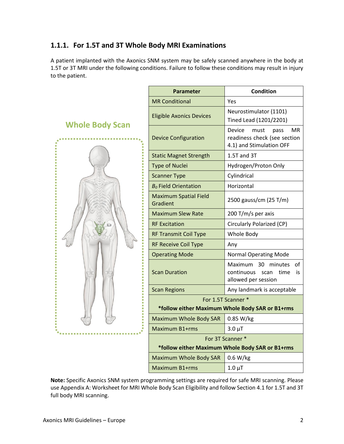### <span id="page-4-0"></span>**1.1.1. For 1.5T and 3T Whole Body MRI Examinations**

A patient implanted with the Axonics SNM system may be safely scanned anywhere in the body at 1.5T or 3T MRI under the following conditions. Failure to follow these conditions may result in injury to the patient.

|                        | <b>Parameter</b>                                                      | <b>Condition</b>                                                                          |  |  |
|------------------------|-----------------------------------------------------------------------|-------------------------------------------------------------------------------------------|--|--|
|                        | <b>MR Conditional</b>                                                 | Yes                                                                                       |  |  |
| <b>Whole Body Scan</b> | <b>Eligible Axonics Devices</b>                                       | Neurostimulator (1101)<br>Tined Lead (1201/2201)                                          |  |  |
|                        | <b>Device Configuration</b>                                           | Device<br>must<br>pass<br>MR.<br>readiness check (see section<br>4.1) and Stimulation OFF |  |  |
|                        | <b>Static Magnet Strength</b>                                         | 1.5T and 3T                                                                               |  |  |
|                        | <b>Type of Nuclei</b>                                                 | Hydrogen/Proton Only                                                                      |  |  |
|                        | <b>Scanner Type</b>                                                   | Cylindrical                                                                               |  |  |
|                        | $B0$ Field Orientation                                                | Horizontal                                                                                |  |  |
|                        | <b>Maximum Spatial Field</b><br>Gradient                              | 2500 gauss/cm (25 T/m)                                                                    |  |  |
|                        | <b>Maximum Slew Rate</b>                                              | 200 T/m/s per axis                                                                        |  |  |
|                        | <b>RF Excitation</b>                                                  | Circularly Polarized (CP)                                                                 |  |  |
|                        | <b>RF Transmit Coil Type</b>                                          | Whole Body                                                                                |  |  |
|                        | <b>RF Receive Coil Type</b>                                           | Anv                                                                                       |  |  |
|                        | <b>Operating Mode</b>                                                 | <b>Normal Operating Mode</b>                                                              |  |  |
|                        | <b>Scan Duration</b>                                                  | Maximum 30 minutes<br>of<br>continuous<br>scan<br>time<br>is.<br>allowed per session      |  |  |
|                        | <b>Scan Regions</b>                                                   | Any landmark is acceptable                                                                |  |  |
|                        | For 1.5T Scanner *<br>*follow either Maximum Whole Body SAR or B1+rms |                                                                                           |  |  |
|                        | Maximum Whole Body SAR                                                | 0.85 W/kg                                                                                 |  |  |
|                        | <b>Maximum B1+rms</b>                                                 | $3.0 \mu T$                                                                               |  |  |
|                        | For 3T Scanner *                                                      |                                                                                           |  |  |
|                        | *follow either Maximum Whole Body SAR or B1+rms                       |                                                                                           |  |  |
|                        | Maximum Whole Body SAR                                                | 0.6 W/kg                                                                                  |  |  |
|                        | Maximum B1+rms                                                        | $1.0 \mu T$                                                                               |  |  |

**Note:** Specific Axonics SNM system programming settings are required for safe MRI scanning. Please use Appendix A: [Worksheet for MRI Whole Body Scan Eligibility](#page-14-0) and follow Section [4.1](#page-11-1) for 1.5T and 3T full body MRI scanning.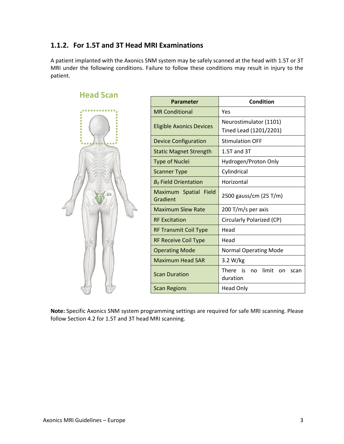### <span id="page-5-0"></span>**1.1.2. For 1.5T and 3T Head MRI Examinations**

A patient implanted with the Axonics SNM system may be safely scanned at the head with 1.5T or 3T MRI under the following conditions. Failure to follow these conditions may result in injury to the patient.

**Head Scan**

| <b>Parameter</b>                  | <b>Condition</b>                                  |  |  |
|-----------------------------------|---------------------------------------------------|--|--|
| <b>MR Conditional</b>             | Yes                                               |  |  |
| <b>Eligible Axonics Devices</b>   | Neurostimulator (1101)                            |  |  |
|                                   | Tined Lead (1201/2201)                            |  |  |
| <b>Device Configuration</b>       | <b>Stimulation OFF</b>                            |  |  |
| <b>Static Magnet Strength</b>     | 1.5T and 3T                                       |  |  |
| <b>Type of Nuclei</b>             | Hydrogen/Proton Only                              |  |  |
| <b>Scanner Type</b>               | Cylindrical                                       |  |  |
| $B0$ Field Orientation            | Horizontal                                        |  |  |
| Maximum Spatial Field<br>Gradient | 2500 gauss/cm (25 T/m)                            |  |  |
| <b>Maximum Slew Rate</b>          | 200 T/m/s per axis                                |  |  |
| <b>RF Excitation</b>              | Circularly Polarized (CP)                         |  |  |
| <b>RF Transmit Coil Type</b>      | Head                                              |  |  |
| <b>RF Receive Coil Type</b>       | Head                                              |  |  |
| <b>Operating Mode</b>             | <b>Normal Operating Mode</b>                      |  |  |
| <b>Maximum Head SAR</b>           | 3.2 W/kg                                          |  |  |
| <b>Scan Duration</b>              | There is<br>limit<br>no<br>on<br>scan<br>duration |  |  |
| <b>Scan Regions</b>               | <b>Head Only</b>                                  |  |  |

**Note:** Specific Axonics SNM system programming settings are required for safe MRI scanning. Please follow Section [4.2](#page-13-0) for 1.5T and 3T head MRI scanning.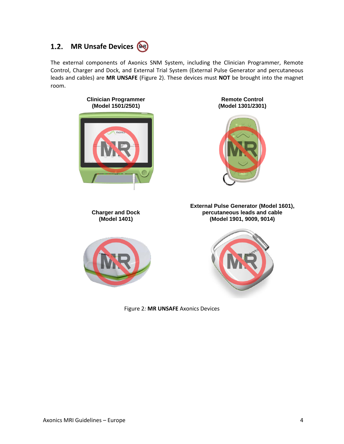### <span id="page-6-0"></span>1.2. MR Unsafe Devices (MR)

The external components of Axonics SNM System, including the Clinician Programmer, Remote Control, Charger and Dock, and External Trial System (External Pulse Generator and percutaneous leads and cables) are **MR UNSAFE** (Figure 2). These devices must **NOT** be brought into the magnet room.



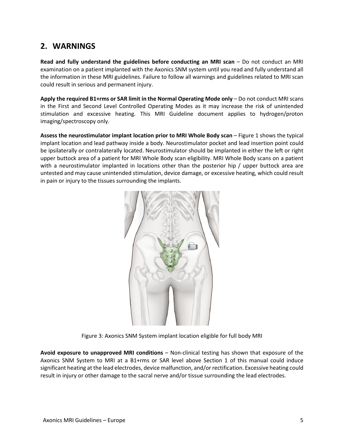### <span id="page-7-0"></span>**2. WARNINGS**

**Read and fully understand the guidelines before conducting an MRI scan** – Do not conduct an MRI examination on a patient implanted with the Axonics SNM system until you read and fully understand all the information in these MRI guidelines. Failure to follow all warnings and guidelines related to MRI scan could result in serious and permanent injury.

**Apply the required B1+rms or SAR limit in the Normal Operating Mode only** – Do not conduct MRI scans in the First and Second Level Controlled Operating Modes as it may increase the risk of unintended stimulation and excessive heating. This MRI Guideline document applies to hydrogen/proton imaging/spectroscopy only.

**Assess the neurostimulator implant location prior to MRI Whole Body scan** – Figure 1 shows the typical implant location and lead pathway inside a body. Neurostimulator pocket and lead insertion point could be ipsilaterally or contralaterally located. Neurostimulator should be implanted in either the left or right upper buttock area of a patient for MRI Whole Body scan eligibility. MRI Whole Body scans on a patient with a neurostimulator implanted in locations other than the posterior hip / upper buttock area are untested and may cause unintended stimulation, device damage, or excessive heating, which could result in pain or injury to the tissues surrounding the implants.



Figure 3: Axonics SNM System implant location eligible for full body MRI

**Avoid exposure to unapproved MRI conditions** – Non-clinical testing has shown that exposure of the Axonics SNM System to MRI at a B1+rms or SAR level above Section 1 of this manual could induce significant heating at the lead electrodes, device malfunction, and/or rectification. Excessive heating could result in injury or other damage to the sacral nerve and/or tissue surrounding the lead electrodes.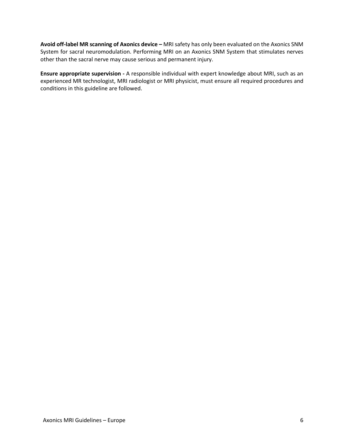**Avoid off-label MR scanning of Axonics device –** MRI safety has only been evaluated on the Axonics SNM System for sacral neuromodulation. Performing MRI on an Axonics SNM System that stimulates nerves other than the sacral nerve may cause serious and permanent injury.

**Ensure appropriate supervision -** A responsible individual with expert knowledge about MRI, such as an experienced MR technologist, MRI radiologist or MRI physicist, must ensure all required procedures and conditions in this guideline are followed.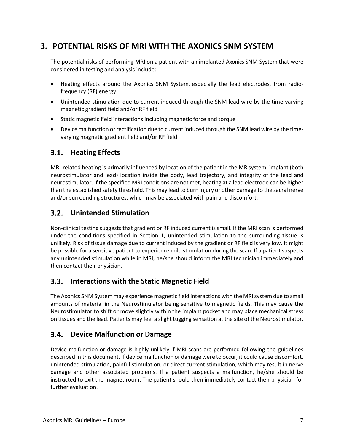### <span id="page-9-0"></span>**3. POTENTIAL RISKS OF MRI WITH THE AXONICS SNM SYSTEM**

The potential risks of performing MRI on a patient with an implanted Axonics SNM System that were considered in testing and analysis include:

- Heating effects around the Axonics SNM System, especially the lead electrodes, from radiofrequency (RF) energy
- Unintended stimulation due to current induced through the SNM lead wire by the time-varying magnetic gradient field and/or RF field
- Static magnetic field interactions including magnetic force and torque
- Device malfunction or rectification due to current induced through the SNM lead wire by the timevarying magnetic gradient field and/or RF field

### <span id="page-9-1"></span> $3.1.$ **Heating Effects**

MRI-related heating is primarily influenced by location of the patient in the MR system, implant (both neurostimulator and lead) location inside the body, lead trajectory, and integrity of the lead and neurostimulator. If the specified MRI conditions are not met, heating at a lead electrode can be higher than the established safety threshold. This may lead to burn injury or other damage to the sacral nerve and/or surrounding structures, which may be associated with pain and discomfort.

#### <span id="page-9-2"></span>**Unintended Stimulation**  $3.2.$

Non-clinical testing suggests that gradient or RF induced current is small. If the MRI scan is performed under the conditions specified in Section 1, unintended stimulation to the surrounding tissue is unlikely. Risk of tissue damage due to current induced by the gradient or RF field is very low. It might be possible for a sensitive patient to experience mild stimulation during the scan. If a patient suspects any unintended stimulation while in MRI, he/she should inform the MRI technician immediately and then contact their physician.

#### <span id="page-9-3"></span>**Interactions with the Static Magnetic Field**   $3.3.$

The Axonics SNM System may experience magnetic field interactions with the MRI system due to small amounts of material in the Neurostimulator being sensitive to magnetic fields. This may cause the Neurostimulator to shift or move slightly within the implant pocket and may place mechanical stress on tissues and the lead. Patients may feel a slight tugging sensation at the site of the Neurostimulator.

#### <span id="page-9-4"></span>**Device Malfunction or Damage**  $3.4.$

Device malfunction or damage is highly unlikely if MRI scans are performed following the guidelines described in this document. If device malfunction or damage were to occur, it could cause discomfort, unintended stimulation, painful stimulation, or direct current stimulation, which may result in nerve damage and other associated problems. If a patient suspects a malfunction, he/she should be instructed to exit the magnet room. The patient should then immediately contact their physician for further evaluation.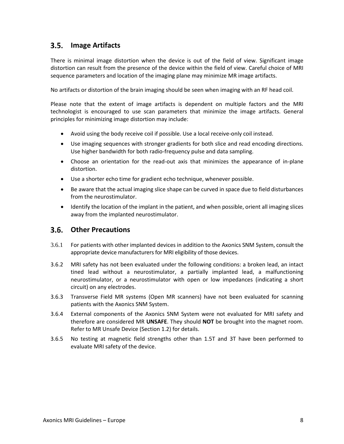### <span id="page-10-0"></span>**Image Artifacts** 3.5.

There is minimal image distortion when the device is out of the field of view. Significant image distortion can result from the presence of the device within the field of view. Careful choice of MRI sequence parameters and location of the imaging plane may minimize MR image artifacts.

No artifacts or distortion of the brain imaging should be seen when imaging with an RF head coil.

Please note that the extent of image artifacts is dependent on multiple factors and the MRI technologist is encouraged to use scan parameters that minimize the image artifacts. General principles for minimizing image distortion may include:

- Avoid using the body receive coil if possible. Use a local receive-only coil instead.
- Use imaging sequences with stronger gradients for both slice and read encoding directions. Use higher bandwidth for both radio-frequency pulse and data sampling.
- Choose an orientation for the read-out axis that minimizes the appearance of in-plane distortion.
- Use a shorter echo time for gradient echo technique, whenever possible.
- Be aware that the actual imaging slice shape can be curved in space due to field disturbances from the neurostimulator.
- Identify the location of the implant in the patient, and when possible, orient all imaging slices away from the implanted neurostimulator.

### <span id="page-10-1"></span>**Other Precautions**

- 3.6.1 For patients with other implanted devices in addition to the Axonics SNM System, consult the appropriate device manufacturers for MRI eligibility of those devices.
- 3.6.2 MRI safety has not been evaluated under the following conditions: a broken lead, an intact tined lead without a neurostimulator, a partially implanted lead, a malfunctioning neurostimulator, or a neurostimulator with open or low impedances (indicating a short circuit) on any electrodes.
- 3.6.3 Transverse Field MR systems (Open MR scanners) have not been evaluated for scanning patients with the Axonics SNM System.
- 3.6.4 External components of the Axonics SNM System were not evaluated for MRI safety and therefore are considered MR **UNSAFE**. They should **NOT** be brought into the magnet room. Refer to MR Unsafe Device (Section [1.2\)](#page-6-0) for details.
- 3.6.5 No testing at magnetic field strengths other than 1.5T and 3T have been performed to evaluate MRI safety of the device.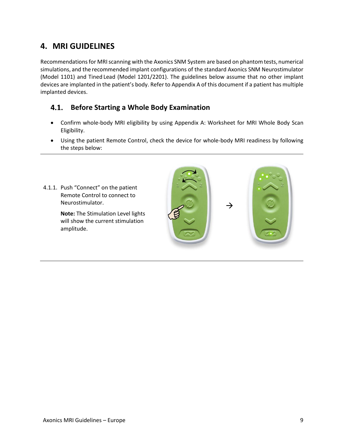### <span id="page-11-0"></span>**4. MRI GUIDELINES**

Recommendations for MRI scanning with the Axonics SNM System are based on phantom tests, numerical simulations, and the recommended implant configurations of the standard Axonics SNM Neurostimulator (Model 1101) and Tined Lead (Model 1201/2201). The guidelines below assume that no other implant devices are implanted in the patient's body. Refer to Appendix A of this document if a patient has multiple implanted devices.

#### <span id="page-11-1"></span> $4.1.$ **Before Starting a Whole Body Examination**

- Confirm whole-body MRI eligibility by using Appendix A: [Worksheet for MRI Whole Body Scan](#page-14-0)  [Eligibility.](#page-14-0)
- Using the patient Remote Control, check the device for whole-body MRI readiness by following the steps below:
- 4.1.1. Push "Connect" on the patient Remote Control to connect to Neurostimulator. **Note:** The Stimulation Level lights will show the current stimulation amplitude.  $\rightarrow$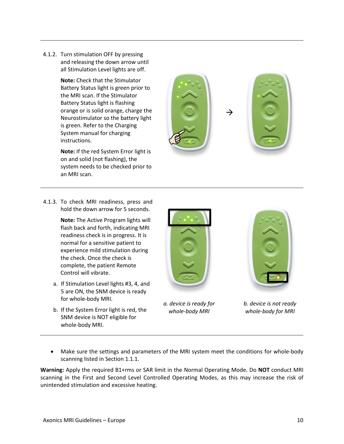4.1.2. Turn stimulation OFF by pressing and releasing the down arrow until all Stimulation Level lights are off.

> **Note:** Check that the Stimulator Battery Status light is green prior to the MRI scan. If the Stimulator Battery Status light is flashing orange or is solid orange, charge the Neurostimulator so the battery light is green. Refer to the Charging System manual for charging instructions.

> **Note:** If the red System Error light is on and solid (not flashing), the system needs to be checked prior to an MRI scan.

4.1.3. To check MRI readiness, press and hold the down arrow for 5 seconds.

> **Note:** The Active Program lights will flash back and forth, indicating MRI readiness check is in progress. It is normal for a sensitive patient to experience mild stimulation during the check. Once the check is complete, the patient Remote Control will vibrate.

- a. If Stimulation Level lights #3, 4, and 5 are ON, the SNM device is ready for whole-body MRI.
- b. If the System Error light is red, the SNM device is NOT eligible for whole-body MRI.



*a. device is ready for whole-body MRI*



 $\rightarrow$ 

*b. device is not ready whole-body for MRI*

• Make sure the settings and parameters of the MRI system meet the conditions for whole-body scanning listed in Section [1.1.1.](#page-4-0)

**Warning:** Apply the required B1+rms or SAR limit in the Normal Operating Mode. Do **NOT** conduct MRI scanning in the First and Second Level Controlled Operating Modes, as this may increase the risk of unintended stimulation and excessive heating.

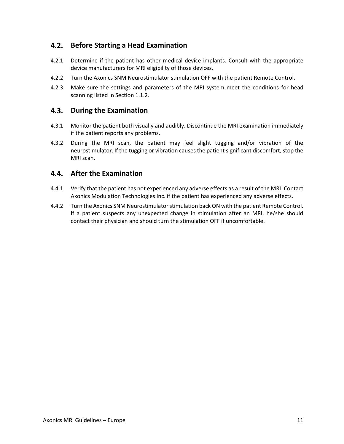### <span id="page-13-0"></span>**Before Starting a Head Examination**

- 4.2.1 Determine if the patient has other medical device implants. Consult with the appropriate device manufacturers for MRI eligibility of those devices.
- 4.2.2 Turn the Axonics SNM Neurostimulator stimulation OFF with the patient Remote Control.
- 4.2.3 Make sure the settings and parameters of the MRI system meet the conditions for head scanning listed in Section [1.1.2.](#page-5-0)

#### <span id="page-13-1"></span> $4.3.$ **During the Examination**

- 4.3.1 Monitor the patient both visually and audibly. Discontinue the MRI examination immediately if the patient reports any problems.
- 4.3.2 During the MRI scan, the patient may feel slight tugging and/or vibration of the neurostimulator. If the tugging or vibration causes the patient significant discomfort, stop the MRI scan.

### <span id="page-13-2"></span>**After the Examination**

- 4.4.1 Verify that the patient has not experienced any adverse effects as a result of the MRI. Contact Axonics Modulation Technologies Inc. if the patient has experienced any adverse effects.
- 4.4.2 Turn the Axonics SNM Neurostimulator stimulation back ON with the patient Remote Control. If a patient suspects any unexpected change in stimulation after an MRI, he/she should contact their physician and should turn the stimulation OFF if uncomfortable.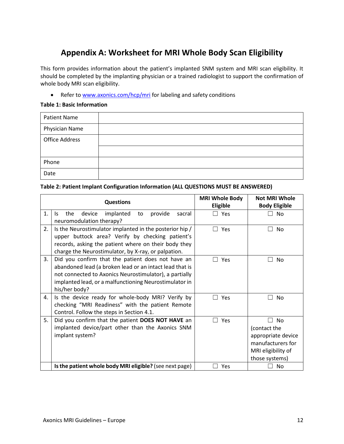### <span id="page-14-0"></span>**Appendix A: Worksheet for MRI Whole Body Scan Eligibility**

This form provides information about the patient's implanted SNM system and MRI scan eligibility. It should be completed by the implanting physician or a trained radiologist to support the confirmation of whole body MRI scan eligibility.

• Refer t[o www.axonics.com/hcp/mri](http://www.axonics.com/hcp/mri) for labeling and safety conditions

### **Table 1: Basic Information**

| <b>Patient Name</b>   |  |
|-----------------------|--|
| Physician Name        |  |
| <b>Office Address</b> |  |
|                       |  |
| Phone                 |  |
| Date                  |  |

### **Table 2: Patient Implant Configuration Information (ALL QUESTIONS MUST BE ANSWERED)**

|    | <b>Questions</b>                                                                                                                                                                                                                                  | <b>MRI Whole Body</b><br>Eligible | <b>Not MRI Whole</b><br><b>Body Eligible</b>                                                                 |
|----|---------------------------------------------------------------------------------------------------------------------------------------------------------------------------------------------------------------------------------------------------|-----------------------------------|--------------------------------------------------------------------------------------------------------------|
| 1. | implanted<br>provide<br>the<br>device<br>sacral<br>1s<br>to<br>neuromodulation therapy?                                                                                                                                                           | Yes                               | No                                                                                                           |
| 2. | Is the Neurostimulator implanted in the posterior hip /<br>upper buttock area? Verify by checking patient's<br>records, asking the patient where on their body they<br>charge the Neurostimulator, by X-ray, or palpation.                        | Yes                               | No                                                                                                           |
| 3. | Did you confirm that the patient does not have an<br>abandoned lead (a broken lead or an intact lead that is<br>not connected to Axonics Neurostimulator), a partially<br>implanted lead, or a malfunctioning Neurostimulator in<br>his/her body? | Yes                               | No                                                                                                           |
| 4. | Is the device ready for whole-body MRI? Verify by<br>checking "MRI Readiness" with the patient Remote<br>Control. Follow the steps in Section 4.1.                                                                                                | Yes                               | <b>No</b><br>$\overline{\phantom{a}}$                                                                        |
| 5. | Did you confirm that the patient DOES NOT HAVE an<br>implanted device/part other than the Axonics SNM<br>implant system?                                                                                                                          | Yes                               | <b>No</b><br>(contact the<br>appropriate device<br>manufacturers for<br>MRI eligibility of<br>those systems) |
|    | Is the patient whole body MRI eligible? (see next page)                                                                                                                                                                                           | Yes                               | No                                                                                                           |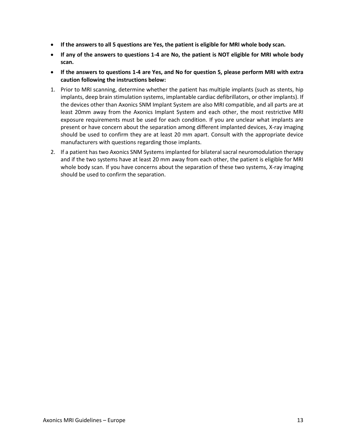- **If the answers to all 5 questions are Yes, the patient is eligible for MRI whole body scan.**
- **If any of the answers to questions 1-4 are No, the patient is NOT eligible for MRI whole body scan.**
- **If the answers to questions 1-4 are Yes, and No for question 5, please perform MRI with extra caution following the instructions below:**
- 1. Prior to MRI scanning, determine whether the patient has multiple implants (such as stents, hip implants, deep brain stimulation systems, implantable cardiac defibrillators, or other implants). If the devices other than Axonics SNM Implant System are also MRI compatible, and all parts are at least 20mm away from the Axonics Implant System and each other, the most restrictive MRI exposure requirements must be used for each condition. If you are unclear what implants are present or have concern about the separation among different implanted devices, X-ray imaging should be used to confirm they are at least 20 mm apart. Consult with the appropriate device manufacturers with questions regarding those implants.
- 2. If a patient has two Axonics SNM Systems implanted for bilateral sacral neuromodulation therapy and if the two systems have at least 20 mm away from each other, the patient is eligible for MRI whole body scan. If you have concerns about the separation of these two systems, X-ray imaging should be used to confirm the separation.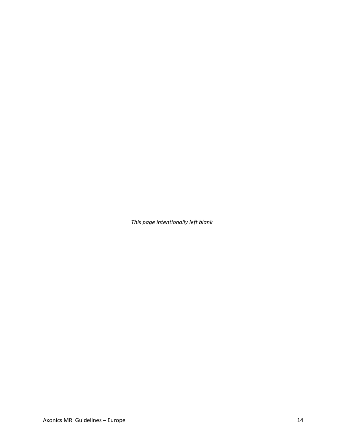*This page intentionally left blank*